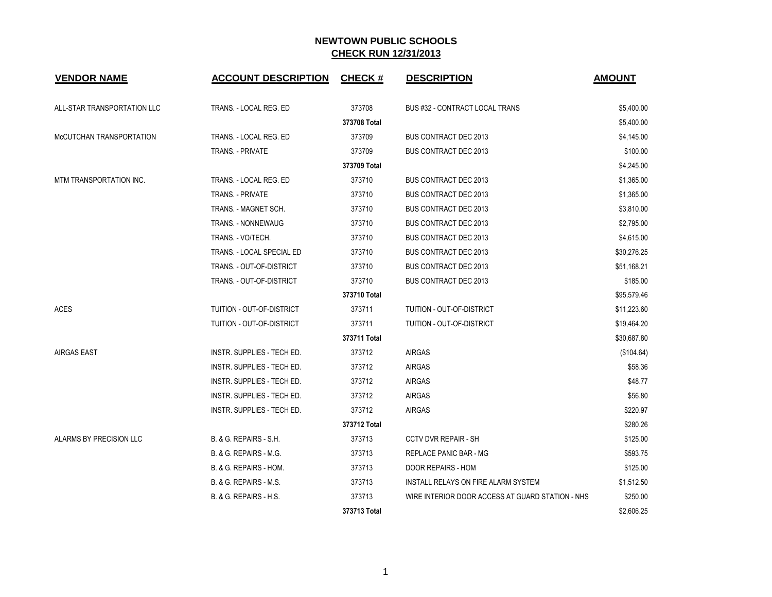| <b>VENDOR NAME</b>          | <b>ACCOUNT DESCRIPTION</b>        | <b>CHECK#</b> | <b>DESCRIPTION</b>                               | <b>AMOUNT</b> |
|-----------------------------|-----------------------------------|---------------|--------------------------------------------------|---------------|
| ALL-STAR TRANSPORTATION LLC | TRANS. - LOCAL REG. ED            | 373708        | <b>BUS #32 - CONTRACT LOCAL TRANS</b>            | \$5,400.00    |
|                             |                                   | 373708 Total  |                                                  | \$5,400.00    |
| McCUTCHAN TRANSPORTATION    | TRANS. - LOCAL REG. ED            | 373709        | <b>BUS CONTRACT DEC 2013</b>                     | \$4,145.00    |
|                             | TRANS. - PRIVATE                  | 373709        | <b>BUS CONTRACT DEC 2013</b>                     | \$100.00      |
|                             |                                   | 373709 Total  |                                                  | \$4,245.00    |
| MTM TRANSPORTATION INC.     | TRANS. - LOCAL REG. ED            | 373710        | <b>BUS CONTRACT DEC 2013</b>                     | \$1,365.00    |
|                             | TRANS. - PRIVATE                  | 373710        | <b>BUS CONTRACT DEC 2013</b>                     | \$1,365.00    |
|                             | TRANS. - MAGNET SCH.              | 373710        | <b>BUS CONTRACT DEC 2013</b>                     | \$3,810.00    |
|                             | <b>TRANS. - NONNEWAUG</b>         | 373710        | <b>BUS CONTRACT DEC 2013</b>                     | \$2,795.00    |
|                             | TRANS. - VO/TECH.                 | 373710        | <b>BUS CONTRACT DEC 2013</b>                     | \$4,615.00    |
|                             | TRANS. - LOCAL SPECIAL ED         | 373710        | <b>BUS CONTRACT DEC 2013</b>                     | \$30,276.25   |
|                             | TRANS. - OUT-OF-DISTRICT          | 373710        | <b>BUS CONTRACT DEC 2013</b>                     | \$51,168.21   |
|                             | TRANS. - OUT-OF-DISTRICT          | 373710        | <b>BUS CONTRACT DEC 2013</b>                     | \$185.00      |
|                             |                                   | 373710 Total  |                                                  | \$95,579.46   |
| <b>ACES</b>                 | TUITION - OUT-OF-DISTRICT         | 373711        | TUITION - OUT-OF-DISTRICT                        | \$11,223.60   |
|                             | TUITION - OUT-OF-DISTRICT         | 373711        | TUITION - OUT-OF-DISTRICT                        | \$19,464.20   |
|                             |                                   | 373711 Total  |                                                  | \$30,687.80   |
| <b>AIRGAS EAST</b>          | INSTR. SUPPLIES - TECH ED.        | 373712        | <b>AIRGAS</b>                                    | (\$104.64)    |
|                             | <b>INSTR. SUPPLIES - TECH ED.</b> | 373712        | <b>AIRGAS</b>                                    | \$58.36       |
|                             | INSTR. SUPPLIES - TECH ED.        | 373712        | <b>AIRGAS</b>                                    | \$48.77       |
|                             | INSTR. SUPPLIES - TECH ED.        | 373712        | <b>AIRGAS</b>                                    | \$56.80       |
|                             | INSTR. SUPPLIES - TECH ED.        | 373712        | <b>AIRGAS</b>                                    | \$220.97      |
|                             |                                   | 373712 Total  |                                                  | \$280.26      |
| ALARMS BY PRECISION LLC     | B. & G. REPAIRS - S.H.            | 373713        | <b>CCTV DVR REPAIR - SH</b>                      | \$125.00      |
|                             | B. & G. REPAIRS - M.G.            | 373713        | <b>REPLACE PANIC BAR - MG</b>                    | \$593.75      |
|                             | B. & G. REPAIRS - HOM.            | 373713        | <b>DOOR REPAIRS - HOM</b>                        | \$125.00      |
|                             | B. & G. REPAIRS - M.S.            | 373713        | INSTALL RELAYS ON FIRE ALARM SYSTEM              | \$1,512.50    |
|                             | B. & G. REPAIRS - H.S.            | 373713        | WIRE INTERIOR DOOR ACCESS AT GUARD STATION - NHS | \$250.00      |
|                             |                                   | 373713 Total  |                                                  | \$2.606.25    |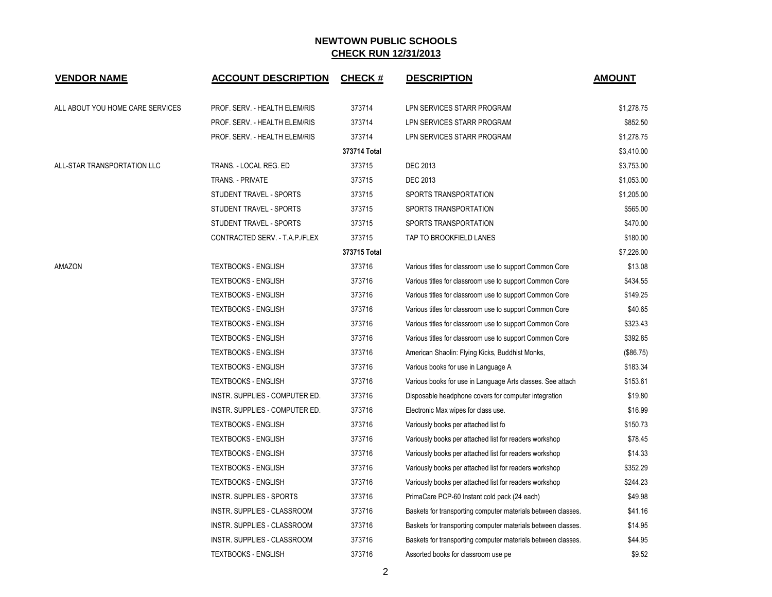| <b>VENDOR NAME</b>               | <b>ACCOUNT DESCRIPTION</b>      | <b>CHECK#</b> | <b>DESCRIPTION</b>                                           | <b>AMOUNT</b> |
|----------------------------------|---------------------------------|---------------|--------------------------------------------------------------|---------------|
| ALL ABOUT YOU HOME CARE SERVICES | PROF. SERV. - HEALTH ELEM/RIS   | 373714        | LPN SERVICES STARR PROGRAM                                   | \$1,278.75    |
|                                  | PROF. SERV. - HEALTH ELEM/RIS   | 373714        | LPN SERVICES STARR PROGRAM                                   | \$852.50      |
|                                  | PROF. SERV. - HEALTH ELEM/RIS   | 373714        | LPN SERVICES STARR PROGRAM                                   | \$1,278.75    |
|                                  |                                 | 373714 Total  |                                                              | \$3,410.00    |
| ALL-STAR TRANSPORTATION LLC      | TRANS. - LOCAL REG. ED          | 373715        | <b>DEC 2013</b>                                              | \$3,753.00    |
|                                  | TRANS. - PRIVATE                | 373715        | <b>DEC 2013</b>                                              | \$1,053.00    |
|                                  | STUDENT TRAVEL - SPORTS         | 373715        | SPORTS TRANSPORTATION                                        | \$1,205.00    |
|                                  | STUDENT TRAVEL - SPORTS         | 373715        | SPORTS TRANSPORTATION                                        | \$565.00      |
|                                  | STUDENT TRAVEL - SPORTS         | 373715        | SPORTS TRANSPORTATION                                        | \$470.00      |
|                                  | CONTRACTED SERV. - T.A.P./FLEX  | 373715        | TAP TO BROOKFIELD LANES                                      | \$180.00      |
|                                  |                                 | 373715 Total  |                                                              | \$7,226.00    |
| AMAZON                           | <b>TEXTBOOKS - ENGLISH</b>      | 373716        | Various titles for classroom use to support Common Core      | \$13.08       |
|                                  | <b>TEXTBOOKS - ENGLISH</b>      | 373716        | Various titles for classroom use to support Common Core      | \$434.55      |
|                                  | <b>TEXTBOOKS - ENGLISH</b>      | 373716        | Various titles for classroom use to support Common Core      | \$149.25      |
|                                  | <b>TEXTBOOKS - ENGLISH</b>      | 373716        | Various titles for classroom use to support Common Core      | \$40.65       |
|                                  | <b>TEXTBOOKS - ENGLISH</b>      | 373716        | Various titles for classroom use to support Common Core      | \$323.43      |
|                                  | <b>TEXTBOOKS - ENGLISH</b>      | 373716        | Various titles for classroom use to support Common Core      | \$392.85      |
|                                  | <b>TEXTBOOKS - ENGLISH</b>      | 373716        | American Shaolin: Flying Kicks, Buddhist Monks,              | (\$86.75)     |
|                                  | <b>TEXTBOOKS - ENGLISH</b>      | 373716        | Various books for use in Language A                          | \$183.34      |
|                                  | <b>TEXTBOOKS - ENGLISH</b>      | 373716        | Various books for use in Language Arts classes. See attach   | \$153.61      |
|                                  | INSTR. SUPPLIES - COMPUTER ED.  | 373716        | Disposable headphone covers for computer integration         | \$19.80       |
|                                  | INSTR. SUPPLIES - COMPUTER ED.  | 373716        | Electronic Max wipes for class use.                          | \$16.99       |
|                                  | <b>TEXTBOOKS - ENGLISH</b>      | 373716        | Variously books per attached list fo                         | \$150.73      |
|                                  | <b>TEXTBOOKS - ENGLISH</b>      | 373716        | Variously books per attached list for readers workshop       | \$78.45       |
|                                  | <b>TEXTBOOKS - ENGLISH</b>      | 373716        | Variously books per attached list for readers workshop       | \$14.33       |
|                                  | <b>TEXTBOOKS - ENGLISH</b>      | 373716        | Variously books per attached list for readers workshop       | \$352.29      |
|                                  | <b>TEXTBOOKS - ENGLISH</b>      | 373716        | Variously books per attached list for readers workshop       | \$244.23      |
|                                  | <b>INSTR. SUPPLIES - SPORTS</b> | 373716        | PrimaCare PCP-60 Instant cold pack (24 each)                 | \$49.98       |
|                                  | INSTR. SUPPLIES - CLASSROOM     | 373716        | Baskets for transporting computer materials between classes. | \$41.16       |
|                                  | INSTR. SUPPLIES - CLASSROOM     | 373716        | Baskets for transporting computer materials between classes. | \$14.95       |
|                                  | INSTR. SUPPLIES - CLASSROOM     | 373716        | Baskets for transporting computer materials between classes. | \$44.95       |
|                                  | <b>TEXTBOOKS - ENGLISH</b>      | 373716        | Assorted books for classroom use pe                          | \$9.52        |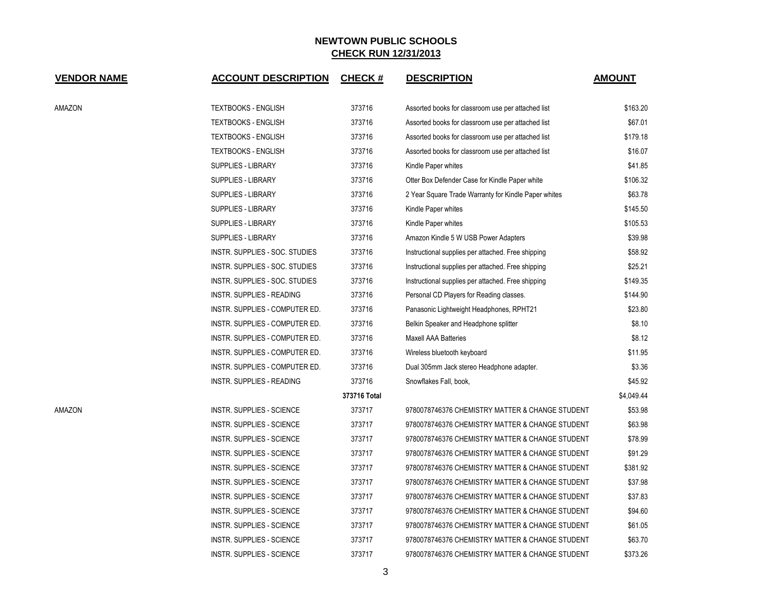| <b>VENDOR NAME</b> | <b>ACCOUNT DESCRIPTION</b>       | <b>CHECK#</b> | <b>DESCRIPTION</b>                                   | <b>AMOUNT</b> |
|--------------------|----------------------------------|---------------|------------------------------------------------------|---------------|
| AMAZON             | <b>TEXTBOOKS - ENGLISH</b>       | 373716        | Assorted books for classroom use per attached list   | \$163.20      |
|                    | <b>TEXTBOOKS - ENGLISH</b>       | 373716        | Assorted books for classroom use per attached list   | \$67.01       |
|                    | <b>TEXTBOOKS - ENGLISH</b>       | 373716        | Assorted books for classroom use per attached list   | \$179.18      |
|                    | <b>TEXTBOOKS - ENGLISH</b>       | 373716        | Assorted books for classroom use per attached list   | \$16.07       |
|                    | SUPPLIES - LIBRARY               | 373716        | Kindle Paper whites                                  | \$41.85       |
|                    | SUPPLIES - LIBRARY               | 373716        | Otter Box Defender Case for Kindle Paper white       | \$106.32      |
|                    | SUPPLIES - LIBRARY               | 373716        | 2 Year Square Trade Warranty for Kindle Paper whites | \$63.78       |
|                    | <b>SUPPLIES - LIBRARY</b>        | 373716        | Kindle Paper whites                                  | \$145.50      |
|                    | SUPPLIES - LIBRARY               | 373716        | Kindle Paper whites                                  | \$105.53      |
|                    | SUPPLIES - LIBRARY               | 373716        | Amazon Kindle 5 W USB Power Adapters                 | \$39.98       |
|                    | INSTR. SUPPLIES - SOC. STUDIES   | 373716        | Instructional supplies per attached. Free shipping   | \$58.92       |
|                    | INSTR. SUPPLIES - SOC. STUDIES   | 373716        | Instructional supplies per attached. Free shipping   | \$25.21       |
|                    | INSTR. SUPPLIES - SOC. STUDIES   | 373716        | Instructional supplies per attached. Free shipping   | \$149.35      |
|                    | <b>INSTR. SUPPLIES - READING</b> | 373716        | Personal CD Players for Reading classes.             | \$144.90      |
|                    | INSTR. SUPPLIES - COMPUTER ED.   | 373716        | Panasonic Lightweight Headphones, RPHT21             | \$23.80       |
|                    | INSTR. SUPPLIES - COMPUTER ED.   | 373716        | Belkin Speaker and Headphone splitter                | \$8.10        |
|                    | INSTR. SUPPLIES - COMPUTER ED.   | 373716        | Maxell AAA Batteries                                 | \$8.12        |
|                    | INSTR. SUPPLIES - COMPUTER ED.   | 373716        | Wireless bluetooth keyboard                          | \$11.95       |
|                    | INSTR. SUPPLIES - COMPUTER ED.   | 373716        | Dual 305mm Jack stereo Headphone adapter.            | \$3.36        |
|                    | INSTR. SUPPLIES - READING        | 373716        | Snowflakes Fall, book,                               | \$45.92       |
|                    |                                  | 373716 Total  |                                                      | \$4,049.44    |
| AMAZON             | INSTR. SUPPLIES - SCIENCE        | 373717        | 9780078746376 CHEMISTRY MATTER & CHANGE STUDENT      | \$53.98       |
|                    | <b>INSTR. SUPPLIES - SCIENCE</b> | 373717        | 9780078746376 CHEMISTRY MATTER & CHANGE STUDENT      | \$63.98       |
|                    | INSTR. SUPPLIES - SCIENCE        | 373717        | 9780078746376 CHEMISTRY MATTER & CHANGE STUDENT      | \$78.99       |
|                    | INSTR. SUPPLIES - SCIENCE        | 373717        | 9780078746376 CHEMISTRY MATTER & CHANGE STUDENT      | \$91.29       |
|                    | INSTR. SUPPLIES - SCIENCE        | 373717        | 9780078746376 CHEMISTRY MATTER & CHANGE STUDENT      | \$381.92      |
|                    | INSTR. SUPPLIES - SCIENCE        | 373717        | 9780078746376 CHEMISTRY MATTER & CHANGE STUDENT      | \$37.98       |
|                    | INSTR. SUPPLIES - SCIENCE        | 373717        | 9780078746376 CHEMISTRY MATTER & CHANGE STUDENT      | \$37.83       |
|                    | INSTR. SUPPLIES - SCIENCE        | 373717        | 9780078746376 CHEMISTRY MATTER & CHANGE STUDENT      | \$94.60       |
|                    | INSTR. SUPPLIES - SCIENCE        | 373717        | 9780078746376 CHEMISTRY MATTER & CHANGE STUDENT      | \$61.05       |
|                    | INSTR. SUPPLIES - SCIENCE        | 373717        | 9780078746376 CHEMISTRY MATTER & CHANGE STUDENT      | \$63.70       |
|                    | <b>INSTR. SUPPLIES - SCIENCE</b> | 373717        | 9780078746376 CHEMISTRY MATTER & CHANGE STUDENT      | \$373.26      |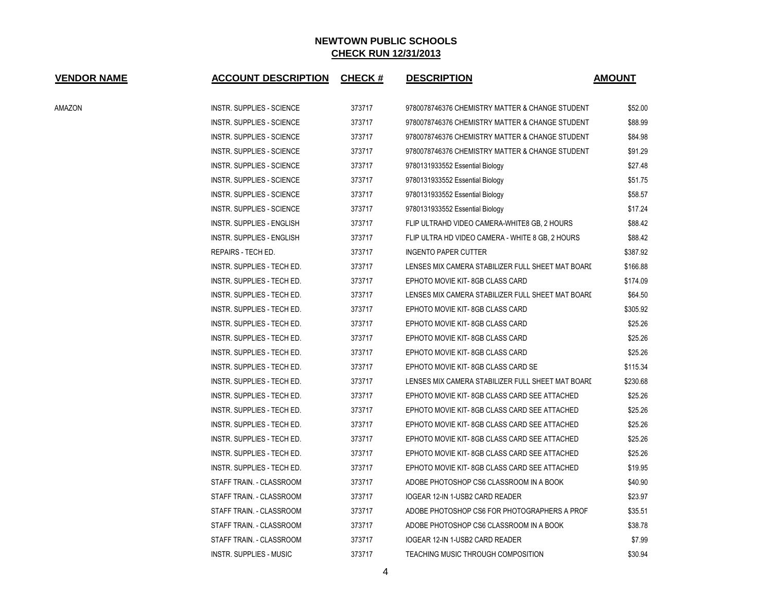| <b>VENDOR NAME</b> | <b>ACCOUNT DESCRIPTION</b>       | <b>CHECK#</b> | <b>DESCRIPTION</b>                                | <b>AMOUNT</b> |
|--------------------|----------------------------------|---------------|---------------------------------------------------|---------------|
| AMAZON             | <b>INSTR. SUPPLIES - SCIENCE</b> | 373717        | 9780078746376 CHEMISTRY MATTER & CHANGE STUDENT   | \$52.00       |
|                    | <b>INSTR. SUPPLIES - SCIENCE</b> | 373717        | 9780078746376 CHEMISTRY MATTER & CHANGE STUDENT   | \$88.99       |
|                    | INSTR. SUPPLIES - SCIENCE        | 373717        | 9780078746376 CHEMISTRY MATTER & CHANGE STUDENT   | \$84.98       |
|                    | INSTR. SUPPLIES - SCIENCE        | 373717        | 9780078746376 CHEMISTRY MATTER & CHANGE STUDENT   | \$91.29       |
|                    | <b>INSTR. SUPPLIES - SCIENCE</b> | 373717        | 9780131933552 Essential Biology                   | \$27.48       |
|                    | <b>INSTR. SUPPLIES - SCIENCE</b> | 373717        | 9780131933552 Essential Biology                   | \$51.75       |
|                    | <b>INSTR. SUPPLIES - SCIENCE</b> | 373717        | 9780131933552 Essential Biology                   | \$58.57       |
|                    | <b>INSTR. SUPPLIES - SCIENCE</b> | 373717        | 9780131933552 Essential Biology                   | \$17.24       |
|                    | INSTR. SUPPLIES - ENGLISH        | 373717        | FLIP ULTRAHD VIDEO CAMERA-WHITE8 GB, 2 HOURS      | \$88.42       |
|                    | INSTR. SUPPLIES - ENGLISH        | 373717        | FLIP ULTRA HD VIDEO CAMERA - WHITE 8 GB, 2 HOURS  | \$88.42       |
|                    | REPAIRS - TECH ED.               | 373717        | <b>INGENTO PAPER CUTTER</b>                       | \$387.92      |
|                    | INSTR. SUPPLIES - TECH ED.       | 373717        | LENSES MIX CAMERA STABILIZER FULL SHEET MAT BOARD | \$166.88      |
|                    | INSTR. SUPPLIES - TECH ED.       | 373717        | EPHOTO MOVIE KIT-8GB CLASS CARD                   | \$174.09      |
|                    | INSTR. SUPPLIES - TECH ED.       | 373717        | LENSES MIX CAMERA STABILIZER FULL SHEET MAT BOARD | \$64.50       |
|                    | INSTR. SUPPLIES - TECH ED.       | 373717        | EPHOTO MOVIE KIT-8GB CLASS CARD                   | \$305.92      |
|                    | INSTR. SUPPLIES - TECH ED.       | 373717        | EPHOTO MOVIE KIT-8GB CLASS CARD                   | \$25.26       |
|                    | INSTR. SUPPLIES - TECH ED.       | 373717        | EPHOTO MOVIE KIT-8GB CLASS CARD                   | \$25.26       |
|                    | INSTR. SUPPLIES - TECH ED.       | 373717        | EPHOTO MOVIE KIT-8GB CLASS CARD                   | \$25.26       |
|                    | INSTR. SUPPLIES - TECH ED.       | 373717        | EPHOTO MOVIE KIT-8GB CLASS CARD SE                | \$115.34      |
|                    | INSTR. SUPPLIES - TECH ED.       | 373717        | LENSES MIX CAMERA STABILIZER FULL SHEET MAT BOARD | \$230.68      |
|                    | INSTR. SUPPLIES - TECH ED.       | 373717        | EPHOTO MOVIE KIT-8GB CLASS CARD SEE ATTACHED      | \$25.26       |
|                    | INSTR. SUPPLIES - TECH ED.       | 373717        | EPHOTO MOVIE KIT-8GB CLASS CARD SEE ATTACHED      | \$25.26       |
|                    | INSTR. SUPPLIES - TECH ED.       | 373717        | EPHOTO MOVIE KIT-8GB CLASS CARD SEE ATTACHED      | \$25.26       |
|                    | INSTR. SUPPLIES - TECH ED.       | 373717        | EPHOTO MOVIE KIT-8GB CLASS CARD SEE ATTACHED      | \$25.26       |
|                    | INSTR. SUPPLIES - TECH ED.       | 373717        | EPHOTO MOVIE KIT-8GB CLASS CARD SEE ATTACHED      | \$25.26       |
|                    | INSTR. SUPPLIES - TECH ED.       | 373717        | EPHOTO MOVIE KIT-8GB CLASS CARD SEE ATTACHED      | \$19.95       |
|                    | STAFF TRAIN. - CLASSROOM         | 373717        | ADOBE PHOTOSHOP CS6 CLASSROOM IN A BOOK           | \$40.90       |
|                    | STAFF TRAIN. - CLASSROOM         | 373717        | IOGEAR 12-IN 1-USB2 CARD READER                   | \$23.97       |
|                    | STAFF TRAIN. - CLASSROOM         | 373717        | ADOBE PHOTOSHOP CS6 FOR PHOTOGRAPHERS A PROF      | \$35.51       |
|                    | STAFF TRAIN. - CLASSROOM         | 373717        | ADOBE PHOTOSHOP CS6 CLASSROOM IN A BOOK           | \$38.78       |
|                    | STAFF TRAIN. - CLASSROOM         | 373717        | IOGEAR 12-IN 1-USB2 CARD READER                   | \$7.99        |
|                    | <b>INSTR. SUPPLIES - MUSIC</b>   | 373717        | TEACHING MUSIC THROUGH COMPOSITION                | \$30.94       |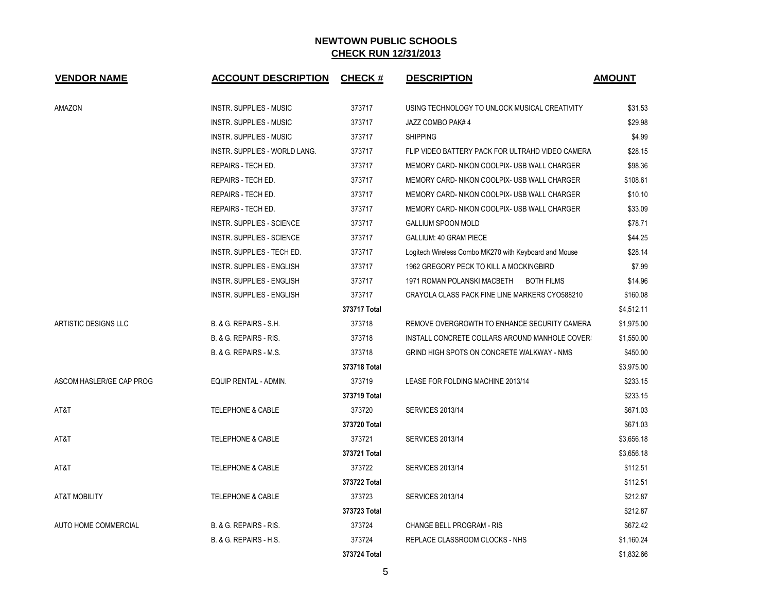| <b>VENDOR NAME</b>       | <b>ACCOUNT DESCRIPTION</b>        | <b>CHECK#</b> | <b>DESCRIPTION</b>                                    | <b>AMOUNT</b> |
|--------------------------|-----------------------------------|---------------|-------------------------------------------------------|---------------|
| AMAZON                   | <b>INSTR. SUPPLIES - MUSIC</b>    | 373717        | USING TECHNOLOGY TO UNLOCK MUSICAL CREATIVITY         | \$31.53       |
|                          | <b>INSTR. SUPPLIES - MUSIC</b>    | 373717        | JAZZ COMBO PAK# 4                                     | \$29.98       |
|                          | <b>INSTR. SUPPLIES - MUSIC</b>    | 373717        | <b>SHIPPING</b>                                       | \$4.99        |
|                          | INSTR. SUPPLIES - WORLD LANG.     | 373717        | FLIP VIDEO BATTERY PACK FOR ULTRAHD VIDEO CAMERA      | \$28.15       |
|                          | REPAIRS - TECH ED.                | 373717        | MEMORY CARD- NIKON COOLPIX- USB WALL CHARGER          | \$98.36       |
|                          | REPAIRS - TECH ED.                | 373717        | MEMORY CARD-NIKON COOLPIX- USB WALL CHARGER           | \$108.61      |
|                          | REPAIRS - TECH ED.                | 373717        | MEMORY CARD- NIKON COOLPIX- USB WALL CHARGER          | \$10.10       |
|                          | REPAIRS - TECH ED.                | 373717        | MEMORY CARD-NIKON COOLPIX- USB WALL CHARGER           | \$33.09       |
|                          | INSTR. SUPPLIES - SCIENCE         | 373717        | <b>GALLIUM SPOON MOLD</b>                             | \$78.71       |
|                          | INSTR. SUPPLIES - SCIENCE         | 373717        | GALLIUM: 40 GRAM PIECE                                | \$44.25       |
|                          | INSTR. SUPPLIES - TECH ED.        | 373717        | Logitech Wireless Combo MK270 with Keyboard and Mouse | \$28.14       |
|                          | INSTR. SUPPLIES - ENGLISH         | 373717        | 1962 GREGORY PECK TO KILL A MOCKINGBIRD               | \$7.99        |
|                          | INSTR. SUPPLIES - ENGLISH         | 373717        | 1971 ROMAN POLANSKI MACBETH<br>BOTH FILMS             | \$14.96       |
|                          | <b>INSTR. SUPPLIES - ENGLISH</b>  | 373717        | CRAYOLA CLASS PACK FINE LINE MARKERS CYO588210        | \$160.08      |
|                          |                                   | 373717 Total  |                                                       | \$4,512.11    |
| ARTISTIC DESIGNS LLC     | B. & G. REPAIRS - S.H.            | 373718        | REMOVE OVERGROWTH TO ENHANCE SECURITY CAMERA          | \$1,975.00    |
|                          | B. & G. REPAIRS - RIS.            | 373718        | INSTALL CONCRETE COLLARS AROUND MANHOLE COVER!        | \$1,550.00    |
|                          | B. & G. REPAIRS - M.S.            | 373718        | GRIND HIGH SPOTS ON CONCRETE WALKWAY - NMS            | \$450.00      |
|                          |                                   | 373718 Total  |                                                       | \$3,975.00    |
| ASCOM HASLER/GE CAP PROG | EQUIP RENTAL - ADMIN.             | 373719        | LEASE FOR FOLDING MACHINE 2013/14                     | \$233.15      |
|                          |                                   | 373719 Total  |                                                       | \$233.15      |
| AT&T                     | <b>TELEPHONE &amp; CABLE</b>      | 373720        | <b>SERVICES 2013/14</b>                               | \$671.03      |
|                          |                                   | 373720 Total  |                                                       | \$671.03      |
| AT&T                     | <b>TELEPHONE &amp; CABLE</b>      | 373721        | <b>SERVICES 2013/14</b>                               | \$3,656.18    |
|                          |                                   | 373721 Total  |                                                       | \$3.656.18    |
| AT&T                     | <b>TELEPHONE &amp; CABLE</b>      | 373722        | <b>SERVICES 2013/14</b>                               | \$112.51      |
|                          |                                   | 373722 Total  |                                                       | \$112.51      |
| <b>AT&amp;T MOBILITY</b> | <b>TELEPHONE &amp; CABLE</b>      | 373723        | <b>SERVICES 2013/14</b>                               | \$212.87      |
|                          |                                   | 373723 Total  |                                                       | \$212.87      |
| AUTO HOME COMMERCIAL     | B. & G. REPAIRS - RIS.            | 373724        | CHANGE BELL PROGRAM - RIS                             | \$672.42      |
|                          | <b>B. &amp; G. REPAIRS - H.S.</b> | 373724        | REPLACE CLASSROOM CLOCKS - NHS                        | \$1,160.24    |
|                          |                                   | 373724 Total  |                                                       | \$1.832.66    |

5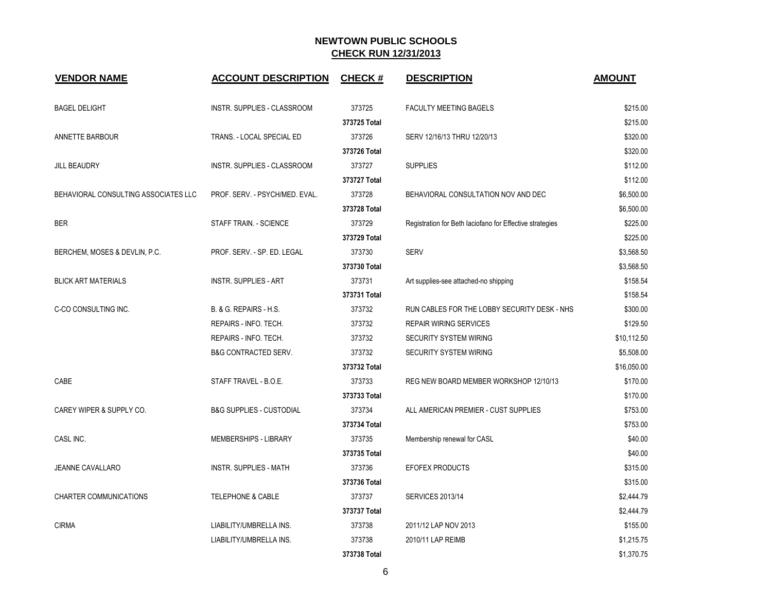| <b>VENDOR NAME</b>                   | <b>ACCOUNT DESCRIPTION</b>          | <b>CHECK#</b> | <b>DESCRIPTION</b>                                       | <b>AMOUNT</b> |
|--------------------------------------|-------------------------------------|---------------|----------------------------------------------------------|---------------|
| <b>BAGEL DELIGHT</b>                 | INSTR. SUPPLIES - CLASSROOM         | 373725        | <b>FACULTY MEETING BAGELS</b>                            | \$215.00      |
|                                      |                                     | 373725 Total  |                                                          | \$215.00      |
| ANNETTE BARBOUR                      | TRANS. - LOCAL SPECIAL ED           | 373726        | SERV 12/16/13 THRU 12/20/13                              | \$320.00      |
|                                      |                                     | 373726 Total  |                                                          | \$320.00      |
| <b>JILL BEAUDRY</b>                  | INSTR. SUPPLIES - CLASSROOM         | 373727        | <b>SUPPLIES</b>                                          | \$112.00      |
|                                      |                                     | 373727 Total  |                                                          | \$112.00      |
| BEHAVIORAL CONSULTING ASSOCIATES LLC | PROF. SERV. - PSYCH/MED. EVAL.      | 373728        | BEHAVIORAL CONSULTATION NOV AND DEC                      | \$6,500.00    |
|                                      |                                     | 373728 Total  |                                                          | \$6,500.00    |
| <b>BER</b>                           | STAFF TRAIN. - SCIENCE              | 373729        | Registration for Beth Iaciofano for Effective strategies | \$225.00      |
|                                      |                                     | 373729 Total  |                                                          | \$225.00      |
| BERCHEM, MOSES & DEVLIN, P.C.        | PROF. SERV. - SP. ED. LEGAL         | 373730        | <b>SERV</b>                                              | \$3,568.50    |
|                                      |                                     | 373730 Total  |                                                          | \$3,568.50    |
| <b>BLICK ART MATERIALS</b>           | <b>INSTR. SUPPLIES - ART</b>        | 373731        | Art supplies-see attached-no shipping                    | \$158.54      |
|                                      |                                     | 373731 Total  |                                                          | \$158.54      |
| C-CO CONSULTING INC.                 | B. & G. REPAIRS - H.S.              | 373732        | RUN CABLES FOR THE LOBBY SECURITY DESK - NHS             | \$300.00      |
|                                      | REPAIRS - INFO. TECH.               | 373732        | <b>REPAIR WIRING SERVICES</b>                            | \$129.50      |
|                                      | REPAIRS - INFO. TECH.               | 373732        | <b>SECURITY SYSTEM WIRING</b>                            | \$10,112.50   |
|                                      | <b>B&amp;G CONTRACTED SERV.</b>     | 373732        | <b>SECURITY SYSTEM WIRING</b>                            | \$5,508.00    |
|                                      |                                     | 373732 Total  |                                                          | \$16,050.00   |
| CABE                                 | STAFF TRAVEL - B.O.E.               | 373733        | REG NEW BOARD MEMBER WORKSHOP 12/10/13                   | \$170.00      |
|                                      |                                     | 373733 Total  |                                                          | \$170.00      |
| CAREY WIPER & SUPPLY CO.             | <b>B&amp;G SUPPLIES - CUSTODIAL</b> | 373734        | ALL AMERICAN PREMIER - CUST SUPPLIES                     | \$753.00      |
|                                      |                                     | 373734 Total  |                                                          | \$753.00      |
| CASL INC.                            | MEMBERSHIPS - LIBRARY               | 373735        | Membership renewal for CASL                              | \$40.00       |
|                                      |                                     | 373735 Total  |                                                          | \$40.00       |
| <b>JEANNE CAVALLARO</b>              | <b>INSTR. SUPPLIES - MATH</b>       | 373736        | <b>EFOFEX PRODUCTS</b>                                   | \$315.00      |
|                                      |                                     | 373736 Total  |                                                          | \$315.00      |
| CHARTER COMMUNICATIONS               | <b>TELEPHONE &amp; CABLE</b>        | 373737        | <b>SERVICES 2013/14</b>                                  | \$2,444.79    |
|                                      |                                     | 373737 Total  |                                                          | \$2,444.79    |
| <b>CIRMA</b>                         | LIABILITY/UMBRELLA INS.             | 373738        | 2011/12 LAP NOV 2013                                     | \$155.00      |
|                                      | LIABILITY/UMBRELLA INS.             | 373738        | 2010/11 LAP REIMB                                        | \$1,215.75    |
|                                      |                                     | 373738 Total  |                                                          | \$1,370.75    |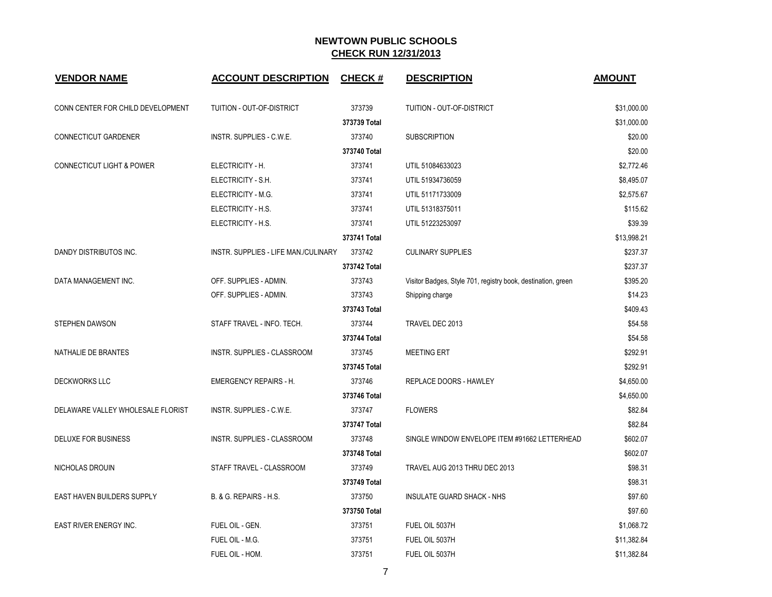| <b>VENDOR NAME</b>                   | <b>ACCOUNT DESCRIPTION</b>           | <b>CHECK#</b> | <b>DESCRIPTION</b>                                           | <b>AMOUNT</b> |
|--------------------------------------|--------------------------------------|---------------|--------------------------------------------------------------|---------------|
| CONN CENTER FOR CHILD DEVELOPMENT    | TUITION - OUT-OF-DISTRICT            | 373739        | TUITION - OUT-OF-DISTRICT                                    | \$31,000.00   |
|                                      |                                      | 373739 Total  |                                                              | \$31,000.00   |
| CONNECTICUT GARDENER                 | INSTR. SUPPLIES - C.W.E.             | 373740        | <b>SUBSCRIPTION</b>                                          | \$20.00       |
|                                      |                                      | 373740 Total  |                                                              | \$20.00       |
| <b>CONNECTICUT LIGHT &amp; POWER</b> | ELECTRICITY - H.                     | 373741        | UTIL 51084633023                                             | \$2,772.46    |
|                                      | ELECTRICITY - S.H.                   | 373741        | UTIL 51934736059                                             | \$8,495.07    |
|                                      | ELECTRICITY - M.G.                   | 373741        | UTIL 51171733009                                             | \$2,575.67    |
|                                      | ELECTRICITY - H.S.                   | 373741        | UTIL 51318375011                                             | \$115.62      |
|                                      | ELECTRICITY - H.S.                   | 373741        | UTIL 51223253097                                             | \$39.39       |
|                                      |                                      | 373741 Total  |                                                              | \$13,998.21   |
| DANDY DISTRIBUTOS INC.               | INSTR. SUPPLIES - LIFE MAN./CULINARY | 373742        | <b>CULINARY SUPPLIES</b>                                     | \$237.37      |
|                                      |                                      | 373742 Total  |                                                              | \$237.37      |
| DATA MANAGEMENT INC.                 | OFF. SUPPLIES - ADMIN.               | 373743        | Visitor Badges, Style 701, registry book, destination, green | \$395.20      |
|                                      | OFF. SUPPLIES - ADMIN.               | 373743        | Shipping charge                                              | \$14.23       |
|                                      |                                      | 373743 Total  |                                                              | \$409.43      |
| STEPHEN DAWSON                       | STAFF TRAVEL - INFO. TECH.           | 373744        | TRAVEL DEC 2013                                              | \$54.58       |
|                                      |                                      | 373744 Total  |                                                              | \$54.58       |
| NATHALIE DE BRANTES                  | INSTR. SUPPLIES - CLASSROOM          | 373745        | <b>MEETING ERT</b>                                           | \$292.91      |
|                                      |                                      | 373745 Total  |                                                              | \$292.91      |
| <b>DECKWORKS LLC</b>                 | <b>EMERGENCY REPAIRS - H.</b>        | 373746        | <b>REPLACE DOORS - HAWLEY</b>                                | \$4,650.00    |
|                                      |                                      | 373746 Total  |                                                              | \$4,650.00    |
| DELAWARE VALLEY WHOLESALE FLORIST    | INSTR. SUPPLIES - C.W.E.             | 373747        | <b>FLOWERS</b>                                               | \$82.84       |
|                                      |                                      | 373747 Total  |                                                              | \$82.84       |
| DELUXE FOR BUSINESS                  | INSTR. SUPPLIES - CLASSROOM          | 373748        | SINGLE WINDOW ENVELOPE ITEM #91662 LETTERHEAD                | \$602.07      |
|                                      |                                      | 373748 Total  |                                                              | \$602.07      |
| NICHOLAS DROUIN                      | STAFF TRAVEL - CLASSROOM             | 373749        | TRAVEL AUG 2013 THRU DEC 2013                                | \$98.31       |
|                                      |                                      | 373749 Total  |                                                              | \$98.31       |
| <b>EAST HAVEN BUILDERS SUPPLY</b>    | <b>B. &amp; G. REPAIRS - H.S.</b>    | 373750        | <b>INSULATE GUARD SHACK - NHS</b>                            | \$97.60       |
|                                      |                                      | 373750 Total  |                                                              | \$97.60       |
| EAST RIVER ENERGY INC.               | FUEL OIL - GEN.                      | 373751        | FUEL OIL 5037H                                               | \$1,068.72    |
|                                      | FUEL OIL - M.G.                      | 373751        | FUEL OIL 5037H                                               | \$11,382.84   |
|                                      | FUEL OIL - HOM.                      | 373751        | FUEL OIL 5037H                                               | \$11,382.84   |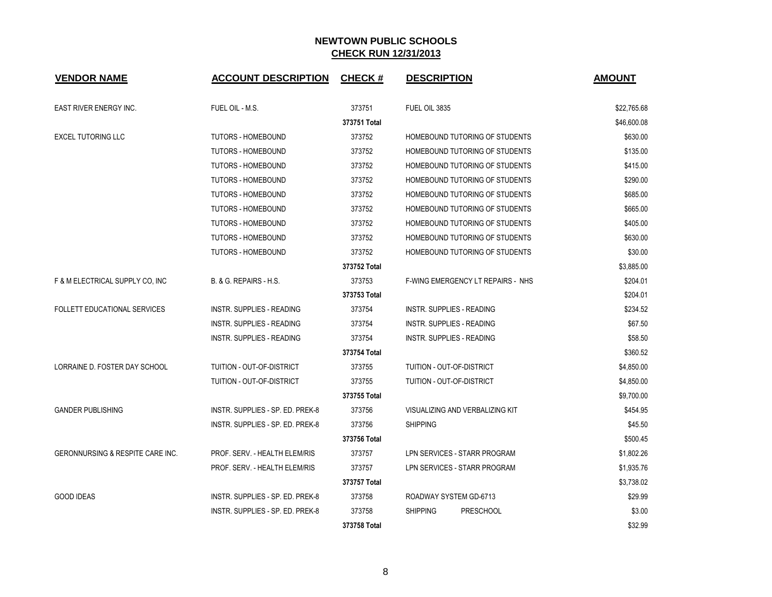| <b>VENDOR NAME</b>                          | <b>ACCOUNT DESCRIPTION</b>        | <b>CHECK#</b> | <b>DESCRIPTION</b>                       | <b>AMOUNT</b> |
|---------------------------------------------|-----------------------------------|---------------|------------------------------------------|---------------|
| <b>EAST RIVER ENERGY INC.</b>               | FUEL OIL - M.S.                   | 373751        | FUEL OIL 3835                            | \$22,765.68   |
|                                             |                                   | 373751 Total  |                                          | \$46,600.08   |
| <b>EXCEL TUTORING LLC</b>                   | <b>TUTORS - HOMEBOUND</b>         | 373752        | HOMEBOUND TUTORING OF STUDENTS           | \$630.00      |
|                                             | <b>TUTORS - HOMEBOUND</b>         | 373752        | HOMEBOUND TUTORING OF STUDENTS           | \$135.00      |
|                                             | <b>TUTORS - HOMEBOUND</b>         | 373752        | HOMEBOUND TUTORING OF STUDENTS           | \$415.00      |
|                                             | <b>TUTORS - HOMEBOUND</b>         | 373752        | HOMEBOUND TUTORING OF STUDENTS           | \$290.00      |
|                                             | <b>TUTORS - HOMEBOUND</b>         | 373752        | HOMEBOUND TUTORING OF STUDENTS           | \$685.00      |
|                                             | <b>TUTORS - HOMEBOUND</b>         | 373752        | HOMEBOUND TUTORING OF STUDENTS           | \$665.00      |
|                                             | <b>TUTORS - HOMEBOUND</b>         | 373752        | HOMEBOUND TUTORING OF STUDENTS           | \$405.00      |
|                                             | <b>TUTORS - HOMEBOUND</b>         | 373752        | HOMEBOUND TUTORING OF STUDENTS           | \$630.00      |
|                                             | <b>TUTORS - HOMEBOUND</b>         | 373752        | HOMEBOUND TUTORING OF STUDENTS           | \$30.00       |
|                                             |                                   | 373752 Total  |                                          | \$3,885.00    |
| F & M ELECTRICAL SUPPLY CO, INC             | <b>B. &amp; G. REPAIRS - H.S.</b> | 373753        | <b>F-WING EMERGENCY LT REPAIRS - NHS</b> | \$204.01      |
|                                             |                                   | 373753 Total  |                                          | \$204.01      |
| <b>FOLLETT EDUCATIONAL SERVICES</b>         | INSTR. SUPPLIES - READING         | 373754        | INSTR. SUPPLIES - READING                | \$234.52      |
|                                             | INSTR. SUPPLIES - READING         | 373754        | <b>INSTR. SUPPLIES - READING</b>         | \$67.50       |
|                                             | INSTR. SUPPLIES - READING         | 373754        | INSTR. SUPPLIES - READING                | \$58.50       |
|                                             |                                   | 373754 Total  |                                          | \$360.52      |
| LORRAINE D. FOSTER DAY SCHOOL               | TUITION - OUT-OF-DISTRICT         | 373755        | TUITION - OUT-OF-DISTRICT                | \$4,850.00    |
|                                             | TUITION - OUT-OF-DISTRICT         | 373755        | TUITION - OUT-OF-DISTRICT                | \$4,850.00    |
|                                             |                                   | 373755 Total  |                                          | \$9,700.00    |
| <b>GANDER PUBLISHING</b>                    | INSTR. SUPPLIES - SP. ED. PREK-8  | 373756        | VISUALIZING AND VERBALIZING KIT          | \$454.95      |
|                                             | INSTR. SUPPLIES - SP. ED. PREK-8  | 373756        | <b>SHIPPING</b>                          | \$45.50       |
|                                             |                                   | 373756 Total  |                                          | \$500.45      |
| <b>GERONNURSING &amp; RESPITE CARE INC.</b> | PROF. SERV. - HEALTH ELEM/RIS     | 373757        | LPN SERVICES - STARR PROGRAM             | \$1,802.26    |
|                                             | PROF. SERV. - HEALTH ELEM/RIS     | 373757        | LPN SERVICES - STARR PROGRAM             | \$1,935.76    |
|                                             |                                   | 373757 Total  |                                          | \$3,738.02    |
| <b>GOOD IDEAS</b>                           | INSTR. SUPPLIES - SP. ED. PREK-8  | 373758        | ROADWAY SYSTEM GD-6713                   | \$29.99       |
|                                             | INSTR. SUPPLIES - SP. ED. PREK-8  | 373758        | <b>SHIPPING</b><br><b>PRESCHOOL</b>      | \$3.00        |
|                                             |                                   | 373758 Total  |                                          | \$32.99       |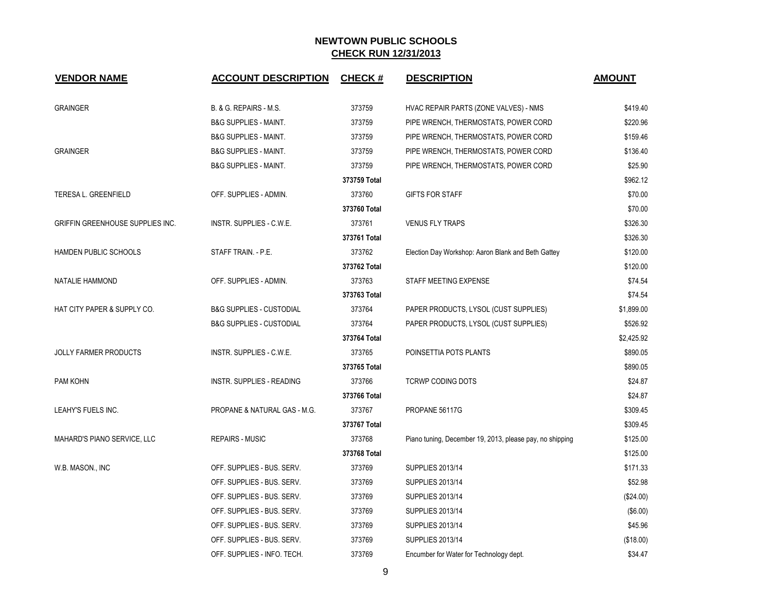| <b>VENDOR NAME</b>               | <b>ACCOUNT DESCRIPTION</b>          | <b>CHECK#</b> | <b>DESCRIPTION</b>                                       | <b>AMOUNT</b> |
|----------------------------------|-------------------------------------|---------------|----------------------------------------------------------|---------------|
| <b>GRAINGER</b>                  | B. & G. REPAIRS - M.S.              | 373759        | HVAC REPAIR PARTS (ZONE VALVES) - NMS                    | \$419.40      |
|                                  | <b>B&amp;G SUPPLIES - MAINT.</b>    | 373759        | PIPE WRENCH, THERMOSTATS, POWER CORD                     | \$220.96      |
|                                  | <b>B&amp;G SUPPLIES - MAINT.</b>    | 373759        | PIPE WRENCH, THERMOSTATS, POWER CORD                     | \$159.46      |
| <b>GRAINGER</b>                  | <b>B&amp;G SUPPLIES - MAINT.</b>    | 373759        | PIPE WRENCH, THERMOSTATS, POWER CORD                     | \$136.40      |
|                                  | <b>B&amp;G SUPPLIES - MAINT.</b>    | 373759        | PIPE WRENCH, THERMOSTATS, POWER CORD                     | \$25.90       |
|                                  |                                     | 373759 Total  |                                                          | \$962.12      |
| TERESA L. GREENFIELD             | OFF. SUPPLIES - ADMIN.              | 373760        | <b>GIFTS FOR STAFF</b>                                   | \$70.00       |
|                                  |                                     | 373760 Total  |                                                          | \$70.00       |
| GRIFFIN GREENHOUSE SUPPLIES INC. | INSTR. SUPPLIES - C.W.E.            | 373761        | <b>VENUS FLY TRAPS</b>                                   | \$326.30      |
|                                  |                                     | 373761 Total  |                                                          | \$326.30      |
| HAMDEN PUBLIC SCHOOLS            | STAFF TRAIN. - P.E.                 | 373762        | Election Day Workshop: Aaron Blank and Beth Gattey       | \$120.00      |
|                                  |                                     | 373762 Total  |                                                          | \$120.00      |
| NATALIE HAMMOND                  | OFF. SUPPLIES - ADMIN.              | 373763        | STAFF MEETING EXPENSE                                    | \$74.54       |
|                                  |                                     | 373763 Total  |                                                          | \$74.54       |
| HAT CITY PAPER & SUPPLY CO.      | <b>B&amp;G SUPPLIES - CUSTODIAL</b> | 373764        | PAPER PRODUCTS, LYSOL (CUST SUPPLIES)                    | \$1,899.00    |
|                                  | <b>B&amp;G SUPPLIES - CUSTODIAL</b> | 373764        | PAPER PRODUCTS, LYSOL (CUST SUPPLIES)                    | \$526.92      |
|                                  |                                     | 373764 Total  |                                                          | \$2,425.92    |
| <b>JOLLY FARMER PRODUCTS</b>     | INSTR. SUPPLIES - C.W.E.            | 373765        | POINSETTIA POTS PLANTS                                   | \$890.05      |
|                                  |                                     | 373765 Total  |                                                          | \$890.05      |
| PAM KOHN                         | <b>INSTR. SUPPLIES - READING</b>    | 373766        | <b>TCRWP CODING DOTS</b>                                 | \$24.87       |
|                                  |                                     | 373766 Total  |                                                          | \$24.87       |
| LEAHY'S FUELS INC.               | PROPANE & NATURAL GAS - M.G.        | 373767        | PROPANE 56117G                                           | \$309.45      |
|                                  |                                     | 373767 Total  |                                                          | \$309.45      |
| MAHARD'S PIANO SERVICE, LLC      | <b>REPAIRS - MUSIC</b>              | 373768        | Piano tuning, December 19, 2013, please pay, no shipping | \$125.00      |
|                                  |                                     | 373768 Total  |                                                          | \$125.00      |
| W.B. MASON., INC                 | OFF. SUPPLIES - BUS. SERV.          | 373769        | <b>SUPPLIES 2013/14</b>                                  | \$171.33      |
|                                  | OFF. SUPPLIES - BUS. SERV.          | 373769        | <b>SUPPLIES 2013/14</b>                                  | \$52.98       |
|                                  | OFF. SUPPLIES - BUS. SERV.          | 373769        | <b>SUPPLIES 2013/14</b>                                  | (\$24.00)     |
|                                  | OFF. SUPPLIES - BUS. SERV.          | 373769        | <b>SUPPLIES 2013/14</b>                                  | (\$6.00)      |
|                                  | OFF. SUPPLIES - BUS. SERV.          | 373769        | <b>SUPPLIES 2013/14</b>                                  | \$45.96       |
|                                  | OFF. SUPPLIES - BUS. SERV.          | 373769        | <b>SUPPLIES 2013/14</b>                                  | (\$18.00)     |
|                                  | OFF. SUPPLIES - INFO. TECH.         | 373769        | Encumber for Water for Technology dept.                  | \$34.47       |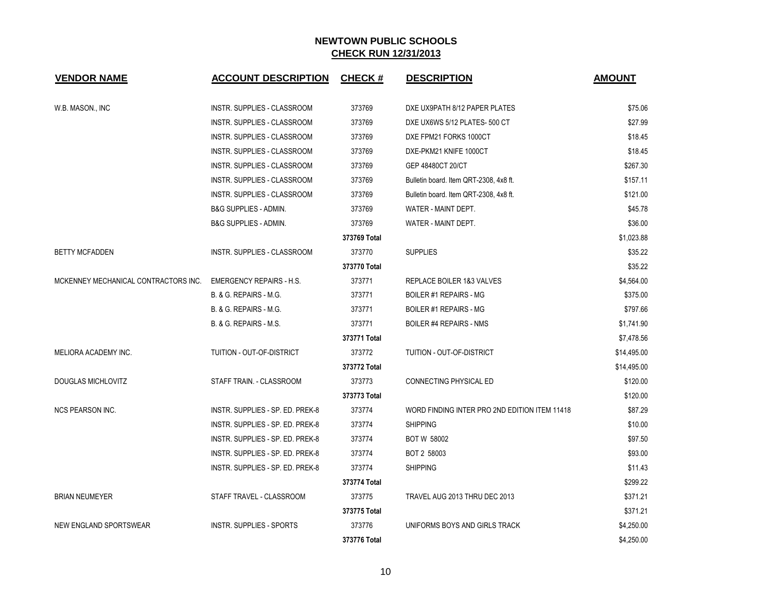| <b>VENDOR NAME</b>                   | <b>ACCOUNT DESCRIPTION</b>         | <b>CHECK#</b> | <b>DESCRIPTION</b>                            | <b>AMOUNT</b> |
|--------------------------------------|------------------------------------|---------------|-----------------------------------------------|---------------|
| W.B. MASON., INC                     | INSTR. SUPPLIES - CLASSROOM        | 373769        | DXE UX9PATH 8/12 PAPER PLATES                 | \$75.06       |
|                                      | INSTR. SUPPLIES - CLASSROOM        | 373769        | DXE UX6WS 5/12 PLATES- 500 CT                 | \$27.99       |
|                                      | INSTR. SUPPLIES - CLASSROOM        | 373769        | DXE FPM21 FORKS 1000CT                        | \$18.45       |
|                                      | INSTR. SUPPLIES - CLASSROOM        | 373769        | DXE-PKM21 KNIFE 1000CT                        | \$18.45       |
|                                      | <b>INSTR. SUPPLIES - CLASSROOM</b> | 373769        | GEP 48480CT 20/CT                             | \$267.30      |
|                                      | INSTR. SUPPLIES - CLASSROOM        | 373769        | Bulletin board. Item QRT-2308, 4x8 ft.        | \$157.11      |
|                                      | <b>INSTR. SUPPLIES - CLASSROOM</b> | 373769        | Bulletin board. Item QRT-2308, 4x8 ft.        | \$121.00      |
|                                      | <b>B&amp;G SUPPLIES - ADMIN.</b>   | 373769        | WATER - MAINT DEPT.                           | \$45.78       |
|                                      | <b>B&amp;G SUPPLIES - ADMIN.</b>   | 373769        | WATER - MAINT DEPT.                           | \$36.00       |
|                                      |                                    | 373769 Total  |                                               | \$1,023.88    |
| <b>BETTY MCFADDEN</b>                | <b>INSTR. SUPPLIES - CLASSROOM</b> | 373770        | <b>SUPPLIES</b>                               | \$35.22       |
|                                      |                                    | 373770 Total  |                                               | \$35.22       |
| MCKENNEY MECHANICAL CONTRACTORS INC. | <b>EMERGENCY REPAIRS - H.S.</b>    | 373771        | REPLACE BOILER 1&3 VALVES                     | \$4,564.00    |
|                                      | B. & G. REPAIRS - M.G.             | 373771        | BOILER #1 REPAIRS - MG                        | \$375.00      |
|                                      | B. & G. REPAIRS - M.G.             | 373771        | BOILER #1 REPAIRS - MG                        | \$797.66      |
|                                      | B. & G. REPAIRS - M.S.             | 373771        | <b>BOILER #4 REPAIRS - NMS</b>                | \$1,741.90    |
|                                      |                                    | 373771 Total  |                                               | \$7,478.56    |
| MELIORA ACADEMY INC.                 | TUITION - OUT-OF-DISTRICT          | 373772        | <b>TUITION - OUT-OF-DISTRICT</b>              | \$14,495.00   |
|                                      |                                    | 373772 Total  |                                               | \$14,495.00   |
| <b>DOUGLAS MICHLOVITZ</b>            | STAFF TRAIN. - CLASSROOM           | 373773        | CONNECTING PHYSICAL ED                        | \$120.00      |
|                                      |                                    | 373773 Total  |                                               | \$120.00      |
| <b>NCS PEARSON INC.</b>              | INSTR. SUPPLIES - SP. ED. PREK-8   | 373774        | WORD FINDING INTER PRO 2ND EDITION ITEM 11418 | \$87.29       |
|                                      | INSTR. SUPPLIES - SP. ED. PREK-8   | 373774        | <b>SHIPPING</b>                               | \$10.00       |
|                                      | INSTR. SUPPLIES - SP. ED. PREK-8   | 373774        | <b>BOT W 58002</b>                            | \$97.50       |
|                                      | INSTR. SUPPLIES - SP. ED. PREK-8   | 373774        | BOT 2 58003                                   | \$93.00       |
|                                      | INSTR. SUPPLIES - SP. ED. PREK-8   | 373774        | <b>SHIPPING</b>                               | \$11.43       |
|                                      |                                    | 373774 Total  |                                               | \$299.22      |
| <b>BRIAN NEUMEYER</b>                | STAFF TRAVEL - CLASSROOM           | 373775        | TRAVEL AUG 2013 THRU DEC 2013                 | \$371.21      |
|                                      |                                    | 373775 Total  |                                               | \$371.21      |
| NEW ENGLAND SPORTSWEAR               | <b>INSTR. SUPPLIES - SPORTS</b>    | 373776        | UNIFORMS BOYS AND GIRLS TRACK                 | \$4,250.00    |
|                                      |                                    | 373776 Total  |                                               | \$4,250.00    |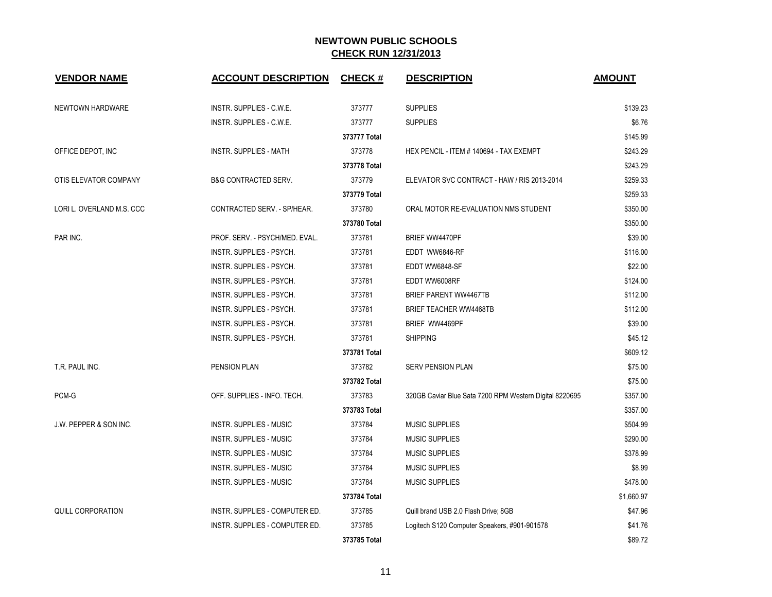| <b>VENDOR NAME</b>                | <b>ACCOUNT DESCRIPTION</b>      | <b>CHECK#</b> | <b>DESCRIPTION</b>                                      | <b>AMOUNT</b> |
|-----------------------------------|---------------------------------|---------------|---------------------------------------------------------|---------------|
| NEWTOWN HARDWARE                  | INSTR. SUPPLIES - C.W.E.        | 373777        | <b>SUPPLIES</b>                                         | \$139.23      |
|                                   | INSTR. SUPPLIES - C.W.E.        | 373777        | <b>SUPPLIES</b>                                         | \$6.76        |
|                                   |                                 | 373777 Total  |                                                         | \$145.99      |
| OFFICE DEPOT, INC                 | <b>INSTR. SUPPLIES - MATH</b>   | 373778        | HEX PENCIL - ITEM # 140694 - TAX EXEMPT                 | \$243.29      |
|                                   |                                 | 373778 Total  |                                                         | \$243.29      |
| OTIS ELEVATOR COMPANY             | <b>B&amp;G CONTRACTED SERV.</b> | 373779        | ELEVATOR SVC CONTRACT - HAW / RIS 2013-2014             | \$259.33      |
|                                   |                                 | 373779 Total  |                                                         | \$259.33      |
| LORI L. OVERLAND M.S. CCC         | CONTRACTED SERV. - SP/HEAR.     | 373780        | ORAL MOTOR RE-EVALUATION NMS STUDENT                    | \$350.00      |
|                                   |                                 | 373780 Total  |                                                         | \$350.00      |
| PAR INC.                          | PROF. SERV. - PSYCH/MED. EVAL.  | 373781        | BRIEF WW4470PF                                          | \$39.00       |
|                                   | INSTR. SUPPLIES - PSYCH.        | 373781        | EDDT WW6846-RF                                          | \$116.00      |
|                                   | <b>INSTR. SUPPLIES - PSYCH.</b> | 373781        | EDDT WW6848-SF                                          | \$22.00       |
|                                   | INSTR. SUPPLIES - PSYCH.        | 373781        | EDDT WW6008RF                                           | \$124.00      |
|                                   | INSTR. SUPPLIES - PSYCH.        | 373781        | <b>BRIEF PARENT WW4467TB</b>                            | \$112.00      |
|                                   | INSTR. SUPPLIES - PSYCH.        | 373781        | <b>BRIEF TEACHER WW4468TB</b>                           | \$112.00      |
|                                   | INSTR. SUPPLIES - PSYCH.        | 373781        | BRIEF WW4469PF                                          | \$39.00       |
|                                   | INSTR. SUPPLIES - PSYCH.        | 373781        | <b>SHIPPING</b>                                         | \$45.12       |
|                                   |                                 | 373781 Total  |                                                         | \$609.12      |
| T.R. PAUL INC.                    | PENSION PLAN                    | 373782        | SERV PENSION PLAN                                       | \$75.00       |
|                                   |                                 | 373782 Total  |                                                         | \$75.00       |
| PCM-G                             | OFF. SUPPLIES - INFO. TECH.     | 373783        | 320GB Caviar Blue Sata 7200 RPM Western Digital 8220695 | \$357.00      |
|                                   |                                 | 373783 Total  |                                                         | \$357.00      |
| <b>J.W. PEPPER &amp; SON INC.</b> | <b>INSTR. SUPPLIES - MUSIC</b>  | 373784        | <b>MUSIC SUPPLIES</b>                                   | \$504.99      |
|                                   | <b>INSTR. SUPPLIES - MUSIC</b>  | 373784        | <b>MUSIC SUPPLIES</b>                                   | \$290.00      |
|                                   | <b>INSTR. SUPPLIES - MUSIC</b>  | 373784        | <b>MUSIC SUPPLIES</b>                                   | \$378.99      |
|                                   | <b>INSTR. SUPPLIES - MUSIC</b>  | 373784        | <b>MUSIC SUPPLIES</b>                                   | \$8.99        |
|                                   | <b>INSTR. SUPPLIES - MUSIC</b>  | 373784        | <b>MUSIC SUPPLIES</b>                                   | \$478.00      |
|                                   |                                 | 373784 Total  |                                                         | \$1,660.97    |
| <b>QUILL CORPORATION</b>          | INSTR. SUPPLIES - COMPUTER ED.  | 373785        | Quill brand USB 2.0 Flash Drive; 8GB                    | \$47.96       |
|                                   | INSTR. SUPPLIES - COMPUTER ED.  | 373785        | Logitech S120 Computer Speakers, #901-901578            | \$41.76       |
|                                   |                                 | 373785 Total  |                                                         | \$89.72       |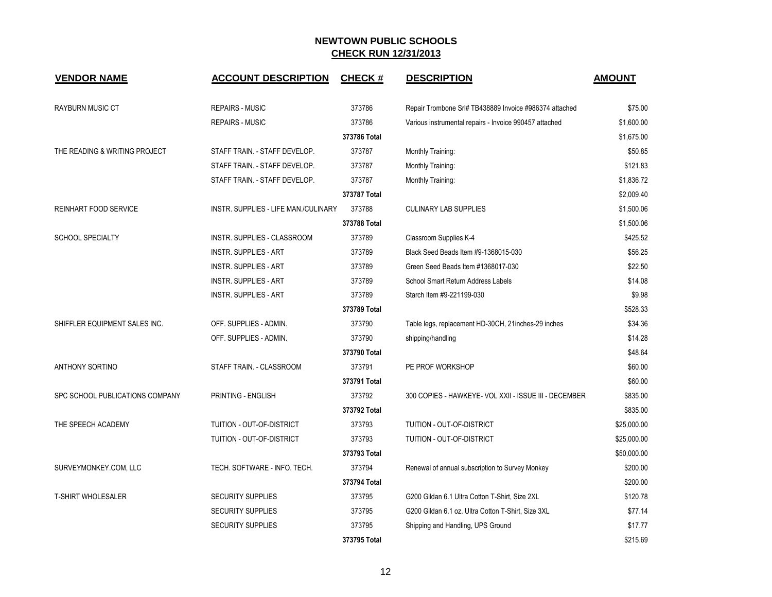| <b>VENDOR NAME</b>              | <b>ACCOUNT DESCRIPTION</b>           | <b>CHECK#</b> | <b>DESCRIPTION</b>                                     | <b>AMOUNT</b> |
|---------------------------------|--------------------------------------|---------------|--------------------------------------------------------|---------------|
| <b>RAYBURN MUSIC CT</b>         | <b>REPAIRS - MUSIC</b>               | 373786        | Repair Trombone Srl# TB438889 Invoice #986374 attached | \$75.00       |
|                                 | <b>REPAIRS - MUSIC</b>               | 373786        | Various instrumental repairs - Invoice 990457 attached | \$1,600.00    |
|                                 |                                      | 373786 Total  |                                                        | \$1,675.00    |
| THE READING & WRITING PROJECT   | STAFF TRAIN. - STAFF DEVELOP.        | 373787        | Monthly Training:                                      | \$50.85       |
|                                 | STAFF TRAIN. - STAFF DEVELOP.        | 373787        | Monthly Training:                                      | \$121.83      |
|                                 | STAFF TRAIN. - STAFF DEVELOP.        | 373787        | Monthly Training:                                      | \$1,836.72    |
|                                 |                                      | 373787 Total  |                                                        | \$2,009.40    |
| <b>REINHART FOOD SERVICE</b>    | INSTR. SUPPLIES - LIFE MAN./CULINARY | 373788        | <b>CULINARY LAB SUPPLIES</b>                           | \$1,500.06    |
|                                 |                                      | 373788 Total  |                                                        | \$1,500.06    |
| <b>SCHOOL SPECIALTY</b>         | INSTR. SUPPLIES - CLASSROOM          | 373789        | Classroom Supplies K-4                                 | \$425.52      |
|                                 | <b>INSTR. SUPPLIES - ART</b>         | 373789        | Black Seed Beads Item #9-1368015-030                   | \$56.25       |
|                                 | <b>INSTR. SUPPLIES - ART</b>         | 373789        | Green Seed Beads Item #1368017-030                     | \$22.50       |
|                                 | <b>INSTR. SUPPLIES - ART</b>         | 373789        | School Smart Return Address Labels                     | \$14.08       |
|                                 | <b>INSTR. SUPPLIES - ART</b>         | 373789        | Starch Item #9-221199-030                              | \$9.98        |
|                                 |                                      | 373789 Total  |                                                        | \$528.33      |
| SHIFFLER EQUIPMENT SALES INC.   | OFF. SUPPLIES - ADMIN.               | 373790        | Table legs, replacement HD-30CH, 21inches-29 inches    | \$34.36       |
|                                 | OFF. SUPPLIES - ADMIN.               | 373790        | shipping/handling                                      | \$14.28       |
|                                 |                                      | 373790 Total  |                                                        | \$48.64       |
| <b>ANTHONY SORTINO</b>          | STAFF TRAIN. - CLASSROOM             | 373791        | PE PROF WORKSHOP                                       | \$60.00       |
|                                 |                                      | 373791 Total  |                                                        | \$60.00       |
| SPC SCHOOL PUBLICATIONS COMPANY | PRINTING - ENGLISH                   | 373792        | 300 COPIES - HAWKEYE- VOL XXII - ISSUE III - DECEMBER  | \$835.00      |
|                                 |                                      | 373792 Total  |                                                        | \$835.00      |
| THE SPEECH ACADEMY              | TUITION - OUT-OF-DISTRICT            | 373793        | TUITION - OUT-OF-DISTRICT                              | \$25,000.00   |
|                                 | TUITION - OUT-OF-DISTRICT            | 373793        | TUITION - OUT-OF-DISTRICT                              | \$25,000.00   |
|                                 |                                      | 373793 Total  |                                                        | \$50,000.00   |
| SURVEYMONKEY.COM, LLC           | TECH. SOFTWARE - INFO. TECH.         | 373794        | Renewal of annual subscription to Survey Monkey        | \$200.00      |
|                                 |                                      | 373794 Total  |                                                        | \$200.00      |
| <b>T-SHIRT WHOLESALER</b>       | <b>SECURITY SUPPLIES</b>             | 373795        | G200 Gildan 6.1 Ultra Cotton T-Shirt, Size 2XL         | \$120.78      |
|                                 | <b>SECURITY SUPPLIES</b>             | 373795        | G200 Gildan 6.1 oz. Ultra Cotton T-Shirt, Size 3XL     | \$77.14       |
|                                 | <b>SECURITY SUPPLIES</b>             | 373795        | Shipping and Handling, UPS Ground                      | \$17.77       |
|                                 |                                      | 373795 Total  |                                                        | \$215.69      |